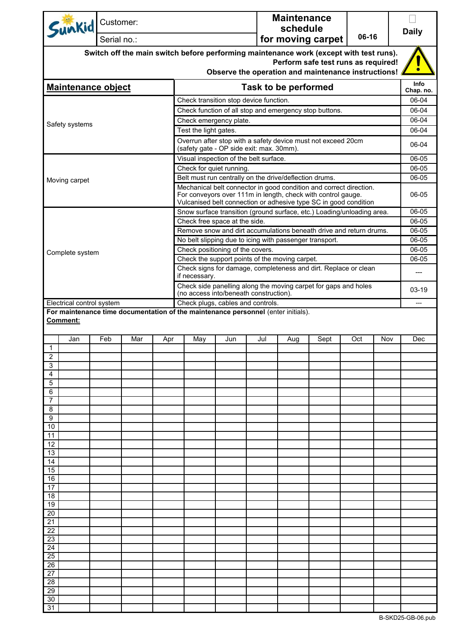| Sunkid Customer:                                                                           | Serial no.:                                                                                              |     |                                                                                                                                     |                                                                                                         |                                                                 |  | <b>Maintenance</b><br>schedule | for moving carpet | 06-16 |       | <b>Daily</b>      |  |
|--------------------------------------------------------------------------------------------|----------------------------------------------------------------------------------------------------------|-----|-------------------------------------------------------------------------------------------------------------------------------------|---------------------------------------------------------------------------------------------------------|-----------------------------------------------------------------|--|--------------------------------|-------------------|-------|-------|-------------------|--|
| Switch off the main switch before performing maintenance work (except with test runs).     |                                                                                                          |     |                                                                                                                                     |                                                                                                         |                                                                 |  |                                |                   |       |       |                   |  |
| Perform safe test runs as required!<br>Observe the operation and maintenance instructions! |                                                                                                          |     |                                                                                                                                     |                                                                                                         |                                                                 |  |                                |                   |       |       |                   |  |
|                                                                                            |                                                                                                          |     |                                                                                                                                     |                                                                                                         |                                                                 |  |                                |                   |       |       |                   |  |
| <b>Maintenance object</b>                                                                  |                                                                                                          |     |                                                                                                                                     |                                                                                                         |                                                                 |  | <b>Task to be performed</b>    |                   |       |       | Info<br>Chap. no. |  |
|                                                                                            |                                                                                                          |     | Check transition stop device function.                                                                                              |                                                                                                         |                                                                 |  |                                |                   |       | 06-04 |                   |  |
|                                                                                            |                                                                                                          |     |                                                                                                                                     |                                                                                                         |                                                                 |  |                                |                   |       | 06-04 |                   |  |
| Safety systems                                                                             |                                                                                                          |     |                                                                                                                                     | Check function of all stop and emergency stop buttons.<br>Check emergency plate.                        |                                                                 |  |                                |                   |       |       |                   |  |
|                                                                                            |                                                                                                          |     |                                                                                                                                     | Test the light gates.                                                                                   |                                                                 |  |                                |                   |       |       | 06-04             |  |
|                                                                                            | Overrun after stop with a safety device must not exceed 20cm<br>(safety gate - OP side exit: max. 30mm). |     |                                                                                                                                     |                                                                                                         |                                                                 |  |                                | 06-04             |       |       |                   |  |
|                                                                                            | Visual inspection of the belt surface.                                                                   |     |                                                                                                                                     |                                                                                                         |                                                                 |  |                                | 06-05             |       |       |                   |  |
|                                                                                            |                                                                                                          |     |                                                                                                                                     | Check for quiet running.                                                                                |                                                                 |  |                                |                   |       |       | 06-05             |  |
|                                                                                            |                                                                                                          |     |                                                                                                                                     | Belt must run centrally on the drive/deflection drums.                                                  |                                                                 |  |                                |                   |       |       | 06-05             |  |
| Moving carpet                                                                              |                                                                                                          |     |                                                                                                                                     | Mechanical belt connector in good condition and correct direction.                                      |                                                                 |  |                                |                   |       |       |                   |  |
|                                                                                            |                                                                                                          |     |                                                                                                                                     | For conveyors over 111m in length, check with control gauge.                                            |                                                                 |  |                                |                   |       |       | 06-05             |  |
|                                                                                            |                                                                                                          |     |                                                                                                                                     | Vulcanised belt connection or adhesive type SC in good condition                                        |                                                                 |  |                                |                   |       |       | 06-05             |  |
|                                                                                            |                                                                                                          |     |                                                                                                                                     | Snow surface transition (ground surface, etc.) Loading/unloading area.<br>Check free space at the side. |                                                                 |  |                                |                   |       |       | 06-05             |  |
|                                                                                            |                                                                                                          |     |                                                                                                                                     | Remove snow and dirt accumulations beneath drive and return drums.                                      |                                                                 |  |                                |                   |       |       | 06-05             |  |
|                                                                                            |                                                                                                          |     |                                                                                                                                     | No belt slipping due to icing with passenger transport.                                                 |                                                                 |  |                                |                   |       |       | 06-05             |  |
|                                                                                            |                                                                                                          |     |                                                                                                                                     | Check positioning of the covers.                                                                        |                                                                 |  |                                |                   |       |       | 06-05             |  |
| Complete system                                                                            |                                                                                                          |     |                                                                                                                                     | Check the support points of the moving carpet.                                                          |                                                                 |  |                                |                   |       |       | 06-05             |  |
|                                                                                            |                                                                                                          |     |                                                                                                                                     | Check signs for damage, completeness and dirt. Replace or clean<br>if necessary.                        |                                                                 |  |                                |                   |       |       |                   |  |
|                                                                                            |                                                                                                          |     |                                                                                                                                     |                                                                                                         | Check side panelling along the moving carpet for gaps and holes |  |                                |                   |       |       |                   |  |
| Electrical control system                                                                  |                                                                                                          |     |                                                                                                                                     | (no access into/beneath construction).<br>Check plugs, cables and controls.                             |                                                                 |  |                                |                   |       |       |                   |  |
| Comment:<br>Jan                                                                            | Mar                                                                                                      | Apr | For maintenance time documentation of the maintenance personnel (enter initials).<br>Jul<br>Sept<br>Oct<br>Nov<br>May<br>Jun<br>Aug |                                                                                                         |                                                                 |  |                                |                   |       |       |                   |  |
| $\mathbf{1}$                                                                               |                                                                                                          |     |                                                                                                                                     |                                                                                                         |                                                                 |  |                                |                   |       |       |                   |  |
| 2                                                                                          |                                                                                                          |     |                                                                                                                                     |                                                                                                         |                                                                 |  |                                |                   |       |       |                   |  |
| 3                                                                                          |                                                                                                          |     |                                                                                                                                     |                                                                                                         |                                                                 |  |                                |                   |       |       |                   |  |
| 4<br>5                                                                                     |                                                                                                          |     |                                                                                                                                     |                                                                                                         |                                                                 |  |                                |                   |       |       |                   |  |
| 6                                                                                          |                                                                                                          |     |                                                                                                                                     |                                                                                                         |                                                                 |  |                                |                   |       |       |                   |  |
| 7                                                                                          |                                                                                                          |     |                                                                                                                                     |                                                                                                         |                                                                 |  |                                |                   |       |       |                   |  |
| 8                                                                                          |                                                                                                          |     |                                                                                                                                     |                                                                                                         |                                                                 |  |                                |                   |       |       |                   |  |
| 9                                                                                          |                                                                                                          |     |                                                                                                                                     |                                                                                                         |                                                                 |  |                                |                   |       |       |                   |  |
| 10<br>11                                                                                   |                                                                                                          |     |                                                                                                                                     |                                                                                                         |                                                                 |  |                                |                   |       |       |                   |  |
| 12                                                                                         |                                                                                                          |     |                                                                                                                                     |                                                                                                         |                                                                 |  |                                |                   |       |       |                   |  |
| 13                                                                                         |                                                                                                          |     |                                                                                                                                     |                                                                                                         |                                                                 |  |                                |                   |       |       |                   |  |
| 14                                                                                         |                                                                                                          |     |                                                                                                                                     |                                                                                                         |                                                                 |  |                                |                   |       |       |                   |  |
| 15                                                                                         |                                                                                                          |     |                                                                                                                                     |                                                                                                         |                                                                 |  |                                |                   |       |       |                   |  |
| 16<br>17                                                                                   |                                                                                                          |     |                                                                                                                                     |                                                                                                         |                                                                 |  |                                |                   |       |       |                   |  |
| 18                                                                                         |                                                                                                          |     |                                                                                                                                     |                                                                                                         |                                                                 |  |                                |                   |       |       |                   |  |
| 19                                                                                         |                                                                                                          |     |                                                                                                                                     |                                                                                                         |                                                                 |  |                                |                   |       |       |                   |  |
| 20                                                                                         |                                                                                                          |     |                                                                                                                                     |                                                                                                         |                                                                 |  |                                |                   |       |       |                   |  |
| 21<br>22                                                                                   |                                                                                                          |     |                                                                                                                                     |                                                                                                         |                                                                 |  |                                |                   |       |       |                   |  |
| 23                                                                                         |                                                                                                          |     |                                                                                                                                     |                                                                                                         |                                                                 |  |                                |                   |       |       |                   |  |
| 24                                                                                         |                                                                                                          |     |                                                                                                                                     |                                                                                                         |                                                                 |  |                                |                   |       |       |                   |  |
| 25                                                                                         |                                                                                                          |     |                                                                                                                                     |                                                                                                         |                                                                 |  |                                |                   |       |       |                   |  |
| 26                                                                                         |                                                                                                          |     |                                                                                                                                     |                                                                                                         |                                                                 |  |                                |                   |       |       |                   |  |
| 27                                                                                         |                                                                                                          |     |                                                                                                                                     |                                                                                                         |                                                                 |  |                                |                   |       |       |                   |  |
| 28<br>29                                                                                   |                                                                                                          |     |                                                                                                                                     |                                                                                                         |                                                                 |  |                                |                   |       |       |                   |  |
| 30                                                                                         |                                                                                                          |     |                                                                                                                                     |                                                                                                         |                                                                 |  |                                |                   |       |       |                   |  |
| 31                                                                                         |                                                                                                          |     |                                                                                                                                     |                                                                                                         |                                                                 |  |                                |                   |       |       |                   |  |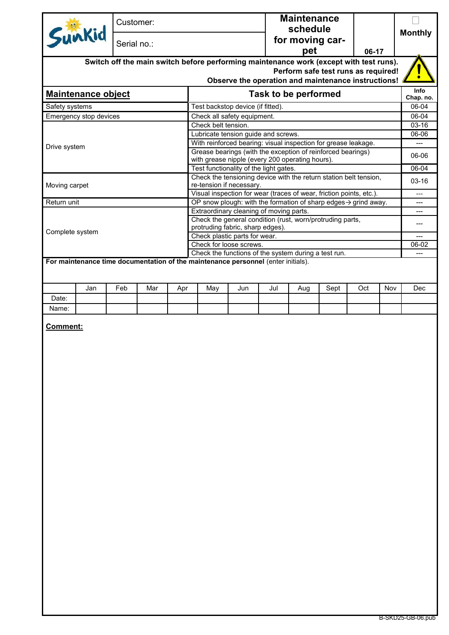|                                                                                   | Customer:   |     |     |                                                                                                 |     |                             | <b>Maintenance</b><br>schedule |      |                                                     |     | <b>Monthly</b> |
|-----------------------------------------------------------------------------------|-------------|-----|-----|-------------------------------------------------------------------------------------------------|-----|-----------------------------|--------------------------------|------|-----------------------------------------------------|-----|----------------|
| Sunkid                                                                            | Serial no.: |     |     |                                                                                                 |     |                             | for moving car-                |      |                                                     |     |                |
|                                                                                   |             |     |     |                                                                                                 |     |                             | pet                            |      | 06-17                                               |     |                |
|                                                                                   |             |     |     | Switch off the main switch before performing maintenance work (except with test runs).          |     |                             |                                |      | Perform safe test runs as required!                 |     |                |
|                                                                                   |             |     |     |                                                                                                 |     |                             |                                |      | Observe the operation and maintenance instructions! |     |                |
|                                                                                   |             |     |     |                                                                                                 |     |                             |                                |      |                                                     |     | Info           |
| <b>Maintenance object</b>                                                         |             |     |     |                                                                                                 |     | <b>Task to be performed</b> |                                |      |                                                     |     | Chap. no.      |
| Safety systems                                                                    |             |     |     | Test backstop device (if fitted).                                                               |     |                             |                                |      |                                                     |     | 06-04          |
| Emergency stop devices                                                            |             |     |     | Check all safety equipment.                                                                     |     |                             |                                |      |                                                     |     | 06-04          |
|                                                                                   |             |     |     | Check belt tension.<br>Lubricate tension guide and screws.                                      |     |                             |                                |      |                                                     |     | 03-16<br>06-06 |
|                                                                                   |             |     |     | With reinforced bearing: visual inspection for grease leakage.                                  |     |                             |                                |      |                                                     |     | $---$          |
| Drive system                                                                      |             |     |     | Grease bearings (with the exception of reinforced bearings)                                     |     |                             |                                |      |                                                     |     |                |
|                                                                                   |             |     |     | with grease nipple (every 200 operating hours).                                                 |     |                             |                                |      |                                                     |     | 06-06          |
|                                                                                   |             |     |     | Test functionality of the light gates.                                                          |     |                             |                                |      |                                                     |     | 06-04          |
|                                                                                   |             |     |     | Check the tensioning device with the return station belt tension,                               |     |                             |                                |      |                                                     |     | $03-16$        |
| Moving carpet                                                                     |             |     |     | re-tension if necessary.<br>Visual inspection for wear (traces of wear, friction points, etc.). |     |                             |                                |      |                                                     |     | $---$          |
| Return unit                                                                       |             |     |     | OP snow plough: with the formation of sharp edges $\rightarrow$ grind away.                     |     |                             |                                |      |                                                     |     | ---            |
|                                                                                   |             |     |     | Extraordinary cleaning of moving parts.                                                         |     |                             |                                |      |                                                     |     | ---            |
|                                                                                   |             |     |     | Check the general condition (rust, worn/protruding parts,                                       |     |                             |                                |      |                                                     |     | ---            |
| Complete system                                                                   |             |     |     | protruding fabric, sharp edges).                                                                |     |                             |                                |      |                                                     |     |                |
|                                                                                   |             |     |     | Check plastic parts for wear.                                                                   |     |                             |                                |      |                                                     |     |                |
|                                                                                   |             |     |     | Check for loose screws.<br>Check the functions of the system during a test run.                 |     |                             |                                |      |                                                     |     | 06-02          |
| For maintenance time documentation of the maintenance personnel (enter initials). |             |     |     |                                                                                                 |     |                             |                                |      |                                                     |     |                |
| Jan                                                                               | Feb         | Mar |     |                                                                                                 | Jun | Jul                         |                                | Sept | Oct                                                 | Nov | Dec            |
| Date:                                                                             |             |     | Apr | May                                                                                             |     |                             | Aug                            |      |                                                     |     |                |
| Name:                                                                             |             |     |     |                                                                                                 |     |                             |                                |      |                                                     |     |                |
|                                                                                   |             |     |     |                                                                                                 |     |                             |                                |      |                                                     |     |                |
|                                                                                   |             |     |     |                                                                                                 |     |                             |                                |      |                                                     |     |                |